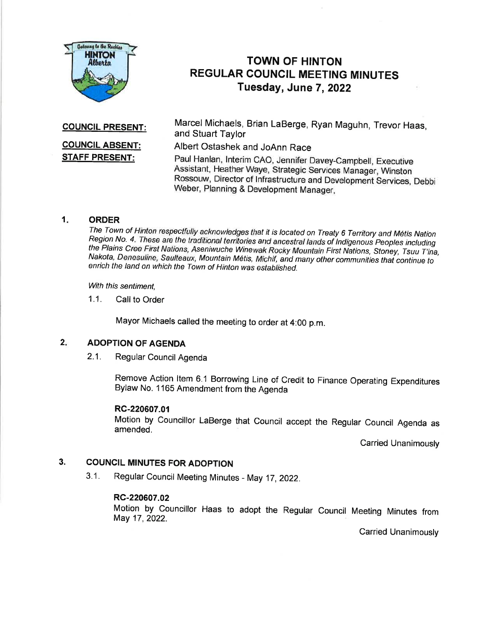

# TOWN OF HINTON REGULAR COUNCIL MEETING MINUTES Tuesday, June 7,2022

COUNCIL PRESENT:

# **COUNCIL ABSENT:** STAFF PRESENT:

Marcel Michaels, Brian LaBerge, Ryan Maguhn, Trevor Haas, and Stuart Taylor

Albert Ostashek and JoAnn Race

Paul Hanlan, lnterim CAO, Jennifer Davey-Campbell, Executive Assistant, Heather Waye, Strategic Services Manager, Winston Rossouw, Director of lnfrastructure and Development services, Debbi Weber, Planning & Development Manager,

1. ORDER<br>The Town of Hinton respectfully acknowledges that it is located on Treaty 6 Territory and Métis Nation Region No. 4. These are the traditional territories and ancestral lands of Indigenous Peoples including<br>the Plains Cree First Nations, Aseniwuche Winewak Rocky Mountain First Nations, Stoney, Tsuu T'ina,<br>Nakota, Denesuline

With this sentiment.

1.1. Call to Order

Mayor Michaels called the meeting to order at 4:00 p.m.

#### $2.$ ADOPTION OF AGENDA

2.1. Regular Council Agenda

Remove Action ltem 6.1 Borrowing Line of Credit to Finance Operating Expenditures Bylaw No. 1165 Amendment from the Agenda

# RC-220607.01

Motion by Councillor LaBerge that Council accept the Regular Council Agenda as amended.

Carried Unanimously

#### COUNCIL MINUTES FOR ADOPTION 3.

3.1. Regular Council Meeting Minutes - May 17,2022.

# RC-220607.02

Motion by Councillor Haas to adopt the Regular Council Meeting Minutes from May 17, 2022.

**Carried Unanimously**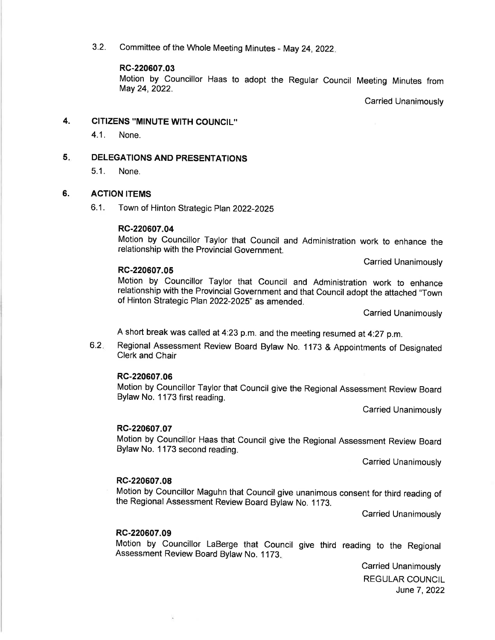3.2. Committee of the Whole Meeting Minutes - May 24,2022

#### RC-220607.03

Motion by Councillor Haas to adopt the Regular Council Meeting Minutes from May 24,2022.

Carried Unanimously

#### 4. CITIZENS "MINUTE WITH COUNCIL"

4.1. None.

DELEGATIONS AND PRESENTATIONS 5

5.1. None.

#### ACTION ITEMS 6.

6.1 . Town of Hinton Strategic Plan 2022-2025

### RC-220607.04

Motion by Councillor Taylor that Council and Administration work to enhance the relationship with the Provincial Government.

Carried Unanimously

### RC-220607.05

Motion by Councillor Taylor that Council and Administration work to enhance relationship with the Provincial Government and that Council adopt the attached "Town of Hinton Strategic Plan 2022-2025" as amended.

Carried Unanimously

A short break was called at 4:23 p.m. and the meeting resumed at 4:27 p.m.

6.2 Regional Assessment Review Board Bylaw No. 1173 & Appointments of Designated Clerk and Chair

## RC-220607.06

Motion by Councillor Taylor that Council give the Regional Assessment Review Board Bylaw No. 1173 first reading.

Carried Unanimously

### RC-220607.07

Motion by Councillor Haas that Council give the Regional Assessment Review Board Bylaw No. 1173 second reading.

Carried Unanimously

### RC-220607.08

Motion by Councillor Maguhn that Council give unanimous consent for third reading of the Regional Assessment Review Board Bylaw No. 1 173.

Carried Unanimously

### RC-220607.09

Motion by Councillor LaBerge that Council give third reading to the Regional Assessment Review Board Bylaw No. 1173.

> Carried Unanimously REGULAR COUNCIL June 7, 2022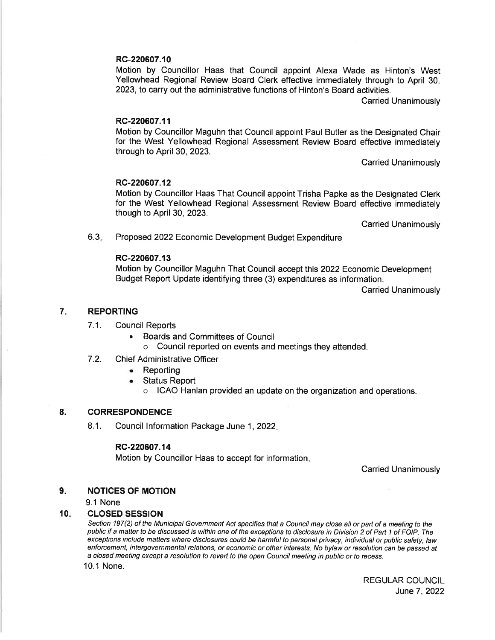# RC-220607.10

Motion by Councillor Haas that Council appoint Alexa Wade as Hinton's West Yellowhead Regional Review Board Clerk effective immediately through to April 30, 2023, to carry out the administrative functions of Hinton's Board activities.

Carried Unanimously

### RC-220607.11

Motion by Councillor Maguhn that Council appoint Paul Butler as the Designated Chair for the West Yellowhead Regional Assessment Review Board effective immediately through to April 30,2023.

Carried Unanimously

### RC-220607.12

Motion by Councillor Haas That Council appoint Trisha Papke as the Designated Clerk for the West Yellowhead Regional Assessment Review Board effective immediately though to April 30,2023.

Carried Unanimously

6.3 Proposed 2022 Economic Development Budget Expenditure

### RC-220607.13

Motion by Councillor Maguhn That Council accept this 2022 Economic Development Budget Report Update identifying three (3) expenditures as information.

Carried Unanimously

#### 7 REPORTING

### 7.1. Council Reports

- . Boards and Committees of Council
	- o Council reported on events and meetings they attended.
- 7.2. Chief Administrative Officer
	- . Reporting
	- **Status Report** 
		- ICAO Hanlan provided an update on the organization and operations.

#### CORRESPONDENCE 8.

8.1. Council Information Package June 1, 2022.

### RC-220607.14

Motion by Councillor Haas to accept for information

Carried Unanimously

#### NOTICES OF MOTION  $9.$

9.1 None

#### CLOSED SESSION 10

Section 197(2) of the Municipal Government Act specifies that a Council may close all or part of a meeting to the public if a matter to be discussed is within one of the exceptions to disclosure in Division 2 of Part 1 of FOIP. The exceptions include matters where disclosures could be harmful to personal privacy, individual or public safety, law enforcement, intergovernmental relations, or economic or other interests. No bylaw or resolution can be passed at a closed meeting except a resolution to reveft to the open Council meeting in public or fo recess.

10.1 None.

REGULAR COUNCIL June7,2022